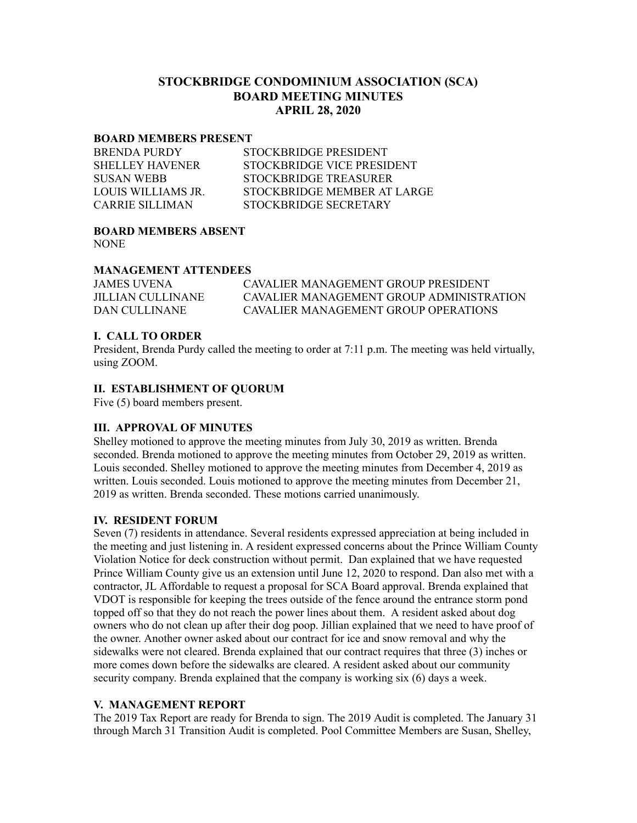# **STOCKBRIDGE CONDOMINIUM ASSOCIATION (SCA) BOARD MEETING MINUTES APRIL 28, 2020**

#### **BOARD MEMBERS PRESENT**

| <b>BRENDA PURDY</b>    | STOCKBRIDGE PRESIDENT       |
|------------------------|-----------------------------|
| <b>SHELLEY HAVENER</b> | STOCKBRIDGE VICE PRESIDENT  |
| <b>SUSAN WEBB</b>      | STOCKBRIDGE TREASURER       |
| LOUIS WILLIAMS JR.     | STOCKBRIDGE MEMBER AT LARGE |
| CARRIE SILLIMAN        | STOCKBRIDGE SECRETARY       |

#### **BOARD MEMBERS ABSENT** NONE

# **MANAGEMENT ATTENDEES**

| <b>JAMES UVENA</b> | CAVALIER MANAGEMENT GROUP PRESIDENT      |
|--------------------|------------------------------------------|
| JILLIAN CULLINANE  | CAVALIER MANAGEMENT GROUP ADMINISTRATION |
| DAN CULLINANE      | CAVALIER MANAGEMENT GROUP OPER ATIONS    |

### **I. CALL TO ORDER**

President, Brenda Purdy called the meeting to order at 7:11 p.m. The meeting was held virtually, using ZOOM.

# **II. ESTABLISHMENT OF QUORUM**

Five (5) board members present.

# **III. APPROVAL OF MINUTES**

Shelley motioned to approve the meeting minutes from July 30, 2019 as written. Brenda seconded. Brenda motioned to approve the meeting minutes from October 29, 2019 as written. Louis seconded. Shelley motioned to approve the meeting minutes from December 4, 2019 as written. Louis seconded. Louis motioned to approve the meeting minutes from December 21, 2019 as written. Brenda seconded. These motions carried unanimously.

#### **IV. RESIDENT FORUM**

Seven (7) residents in attendance. Several residents expressed appreciation at being included in the meeting and just listening in. A resident expressed concerns about the Prince William County Violation Notice for deck construction without permit. Dan explained that we have requested Prince William County give us an extension until June 12, 2020 to respond. Dan also met with a contractor, JL Affordable to request a proposal for SCA Board approval. Brenda explained that VDOT is responsible for keeping the trees outside of the fence around the entrance storm pond topped off so that they do not reach the power lines about them. A resident asked about dog owners who do not clean up after their dog poop. Jillian explained that we need to have proof of the owner. Another owner asked about our contract for ice and snow removal and why the sidewalks were not cleared. Brenda explained that our contract requires that three (3) inches or more comes down before the sidewalks are cleared. A resident asked about our community security company. Brenda explained that the company is working six (6) days a week.

#### **V. MANAGEMENT REPORT**

The 2019 Tax Report are ready for Brenda to sign. The 2019 Audit is completed. The January 31 through March 31 Transition Audit is completed. Pool Committee Members are Susan, Shelley,